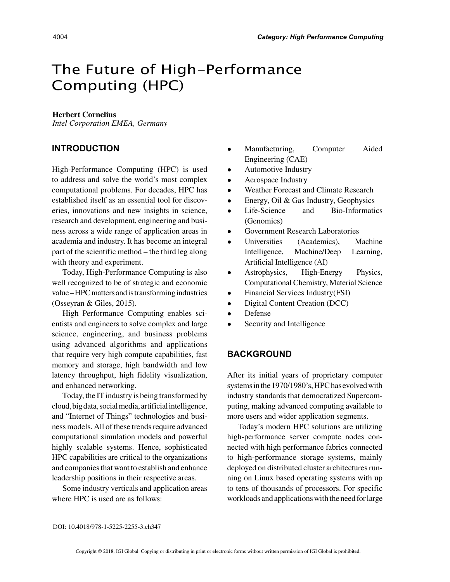# The Future of High-Performance Computing (HPC)

#### **Herbert Cornelius**

*Intel Corporation EMEA, Germany*

## **INTRODUCTION**

High-Performance Computing (HPC) is used to address and solve the world's most complex computational problems. For decades, HPC has established itself as an essential tool for discoveries, innovations and new insights in science, research and development, engineering and business across a wide range of application areas in academia and industry. It has become an integral part of the scientific method – the third leg along with theory and experiment.

Today, High-Performance Computing is also well recognized to be of strategic and economic value – HPC matters and is transforming industries (Osseyran & Giles, 2015).

High Performance Computing enables scientists and engineers to solve complex and large science, engineering, and business problems using advanced algorithms and applications that require very high compute capabilities, fast memory and storage, high bandwidth and low latency throughput, high fidelity visualization, and enhanced networking.

Today, the IT industry is being transformed by cloud, big data, social media, artificial intelligence, and "Internet of Things" technologies and business models. All of these trends require advanced computational simulation models and powerful highly scalable systems. Hence, sophisticated HPC capabilities are critical to the organizations and companies that want to establish and enhance leadership positions in their respective areas.

Some industry verticals and application areas where HPC is used are as follows:

- Manufacturing, Computer Aided Engineering (CAE)
- Automotive Industry
- Aerospace Industry
- Weather Forecast and Climate Research
- Energy, Oil & Gas Industry, Geophysics
- Life-Science and Bio-Informatics (Genomics)
- Government Research Laboratories
- Universities (Academics), Machine Intelligence, Machine/Deep Learning, Artificial Intelligence (AI)
- Astrophysics, High-Energy Physics, Computational Chemistry, Material Science
- Financial Services Industry (FSI)
- Digital Content Creation (DCC)
- Defense
- Security and Intelligence

#### **BACKGROUND**

After its initial years of proprietary computer systems in the 1970/1980's, HPC has evolved with industry standards that democratized Supercomputing, making advanced computing available to more users and wider application segments.

Today's modern HPC solutions are utilizing high-performance server compute nodes connected with high performance fabrics connected to high-performance storage systems, mainly deployed on distributed cluster architectures running on Linux based operating systems with up to tens of thousands of processors. For specific workloads and applications with the need for large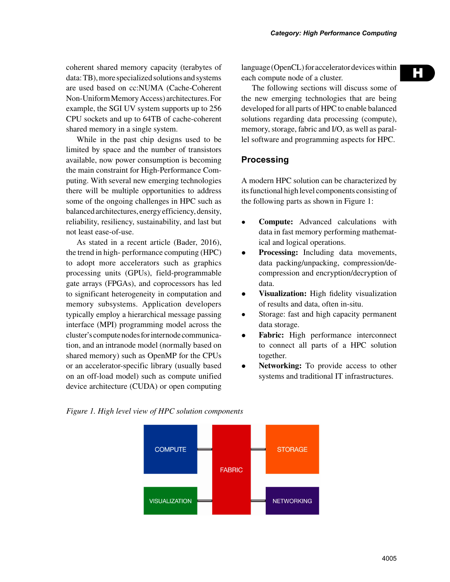H

coherent shared memory capacity (terabytes of data: TB), more specialized solutions and systems are used based on cc:NUMA (Cache-Coherent Non-Uniform Memory Access) architectures. For example, the SGI UV system supports up to 256 CPU sockets and up to 64TB of cache-coherent shared memory in a single system.

While in the past chip designs used to be limited by space and the number of transistors available, now power consumption is becoming the main constraint for High-Performance Computing. With several new emerging technologies there will be multiple opportunities to address some of the ongoing challenges in HPC such as balanced architectures, energy efficiency, density, reliability, resiliency, sustainability, and last but not least ease-of-use.

As stated in a recent article (Bader, 2016), the trend in high- performance computing (HPC) to adopt more accelerators such as graphics processing units (GPUs), field-programmable gate arrays (FPGAs), and coprocessors has led to significant heterogeneity in computation and memory subsystems. Application developers typically employ a hierarchical message passing interface (MPI) programming model across the cluster's compute nodes for internode communication, and an intranode model (normally based on shared memory) such as OpenMP for the CPUs or an accelerator-specific library (usually based on an off-load model) such as compute unified device architecture (CUDA) or open computing language (OpenCL) for accelerator devices within each compute node of a cluster.

The following sections will discuss some of the new emerging technologies that are being developed for all parts of HPC to enable balanced solutions regarding data processing (compute), memory, storage, fabric and I/O, as well as parallel software and programming aspects for HPC.

### **Processing**

A modern HPC solution can be characterized by its functional high level components consisting of the following parts as shown in Figure 1:

- **Compute:** Advanced calculations with data in fast memory performing mathematical and logical operations.
- **• Processing:** Including data movements, data packing/unpacking, compression/decompression and encryption/decryption of data.
- **• Visualization:** High fidelity visualization of results and data, often in-situ.
- Storage: fast and high capacity permanent data storage.
- **• Fabric:** High performance interconnect to connect all parts of a HPC solution together.
- **• Networking:** To provide access to other systems and traditional IT infrastructures.

#### *Figure 1. High level view of HPC solution components*